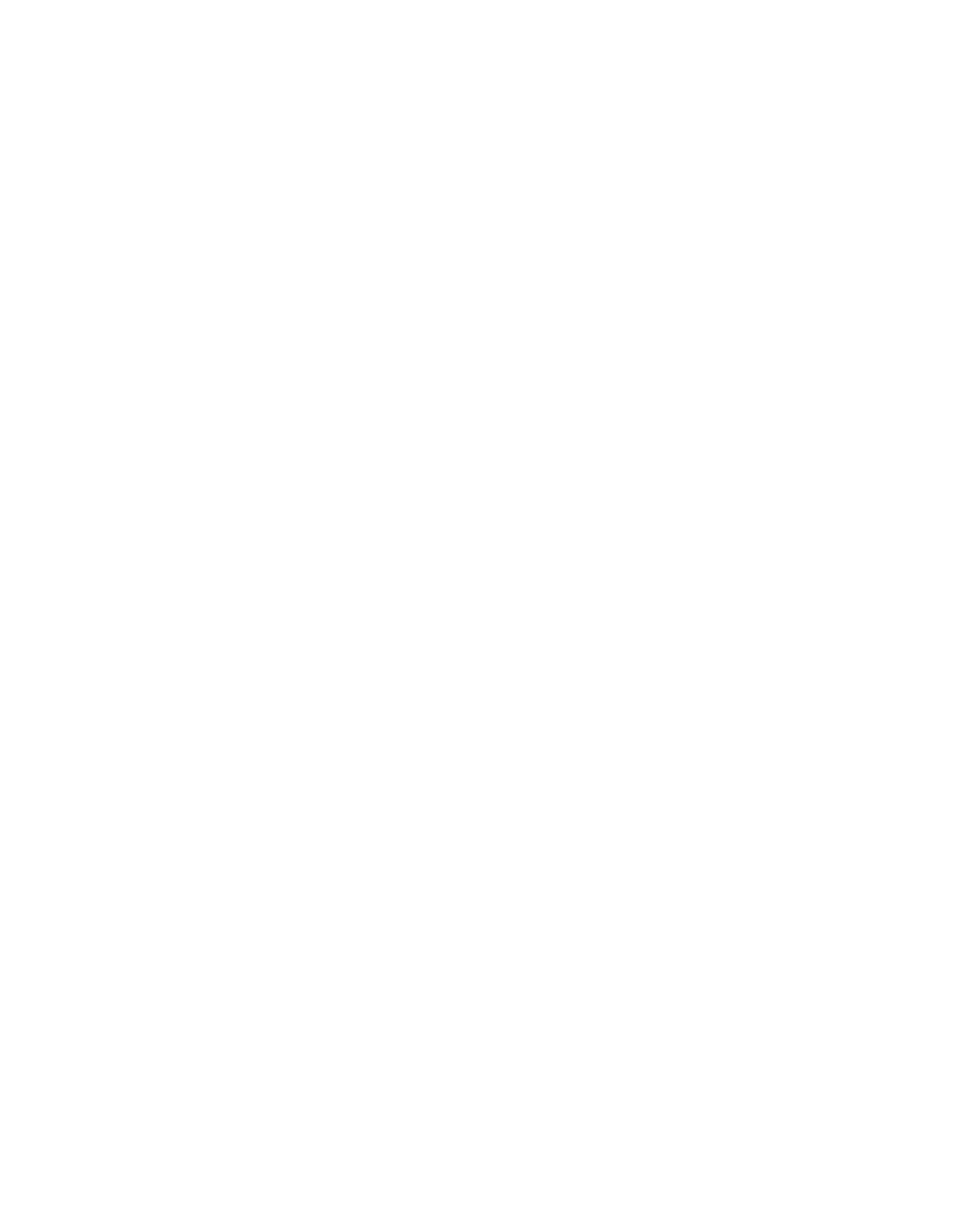## **Youth - Sweepstakes Points 2021/2022 Season Sorted by: EXHIBITOR As of: 2/6/2022 - Gazette**

| Rank Exhibitor / State / # of Shows                            | <b>Number Shown:</b><br><b>Number of Shows:</b> | 7305<br>298<br><b>Points</b> |
|----------------------------------------------------------------|-------------------------------------------------|------------------------------|
|                                                                |                                                 |                              |
| 76 Agans, Mya - MI                                             | 3                                               | 10                           |
| 62 Aton, Patrick - LA                                          | 2                                               | 98                           |
| 14 Brattlie, Hanna - WI                                        | 9                                               | 1964                         |
| 15 Brattlie, Rylee - WI                                        | 9                                               | 1869                         |
| 43 Brown, Jacob - GA                                           | 4<br>5                                          | 227                          |
| 46 Brown, Shaylee - WY                                         | 5                                               | 174<br>115                   |
| 56 Brown, Weston - WY<br>23 Buatte, Morgan - IL                | 11                                              | 820                          |
| 30 Burton, Clarissa - OK                                       | 6                                               | 567                          |
| 18 Campbell, Evangeline - OK                                   | 14                                              | 1137                         |
| 35 Cape, Abigail - OR                                          | 2                                               | 359                          |
| 37 Comp, Alexis - PA                                           | $\mathbf{1}$                                    | 346                          |
| 29 Corgard, Wesley - MN                                        | 5                                               | 600                          |
| 58 Cosenza, Savannah - NJ                                      | 3                                               | 104                          |
| 28 Curley, Eva - NY                                            | 4                                               | 650                          |
| 58 Curley, Eva & Gabriella - NY                                | 2                                               | 104                          |
| 51 Curley, Gabriella - NY                                      | 2                                               | 160                          |
| 52 Dazey, Hannah - TX                                          | 6                                               | 153                          |
| 41 Dill, Lacey - CA                                            | 10                                              | 270                          |
| 8 Feia, Morgan / Trinity & Douglas - MN                        | 17<br>29                                        | 2414<br>660                  |
| 27 Finch, Abigail - TX<br>49 Frost, Parker - CO                | 3                                               | 169                          |
| 73 Frost, Scarlet - CO                                         | 3                                               | 33                           |
| 12 Herring, Lacey - IA                                         | 6                                               | 2058                         |
| 21 Hessou, Marissa - MI                                        | 8                                               | 938                          |
| 64 Holbert, Savannah - WA                                      | 2                                               | 60                           |
| 38 Hooper, Sydney - OH                                         | 3                                               | 292                          |
| 34 Howard, Neva - OK                                           | 8                                               | 369                          |
| 11 Hubbard, Claire - TX                                        | 20                                              | 2128                         |
| 7 Hunter, Abby - MN                                            | 16                                              | 3314                         |
| 67 Hutchison, Gracee - KY                                      | 1                                               | 54                           |
| 45 James, Gibson - MI                                          | 7                                               | 203                          |
| 46 James, Piper - MI                                           | 6                                               | 174                          |
| 72 Jesko, Kinley - TX                                          | $\mathbf{1}$                                    | 34                           |
| 66 Jesko, Nehemiah - TX<br>5 Jones, Russell - TX               | 1<br>25                                         | 56<br>3845                   |
| 69 Kendrick, Colton - MO                                       | $\mathbf{1}$                                    | 45                           |
| 4 King, Lauren - TX                                            | 12                                              | 4811                         |
| 49 Kline, Abigail - IN                                         | 2                                               | 169                          |
| 60 Kline, Brianna - IN                                         | 2                                               | 100                          |
| 10 Knutsen, Cooper - CA                                        | 21                                              | 2141                         |
| 70 Knutsen, Emmett - CA                                        | 6                                               | 40                           |
| 54 Kudrna, Cyndi - SD                                          | 2                                               | 140                          |
| 32 Landsverk, Riley - WI                                       | 6                                               | 482                          |
| 9 Larson, Ethan - CA                                           | 21                                              | 2184                         |
| 48 LaRue, Lelan - TX                                           | 9                                               | 173                          |
| 26 Malcolm, Carter - IN                                        | 14                                              | 718                          |
| 19 Malcolm, Chase - IN                                         | 14                                              | 1098                         |
| 65 Masterson, Hannah - SD                                      | 3                                               | 58                           |
| 75 Masterson, Hunter - SD                                      | 1<br>2                                          | 19                           |
| 77 McBeth, Kaitlyn - IA<br>57 McDonough, Madelynne & Lexi - GA | 1                                               | 8<br>105                     |
| 77 Miller, Kylie - MO                                          | 1                                               | 8                            |
| 60 Moore, Lilly - OH                                           | 2                                               | 100                          |
| 24 Neely, Dylan - OK                                           | 8                                               | 811                          |
| 13 Neighbours, Sky - WI                                        | 19                                              | 2034                         |
| 6 Nelson, Easton - MI                                          | 23                                              | 3689                         |
| 39 Nelson, Kendyl - MI                                         | 7                                               | 285                          |
| 3 Paulsey, Reisa - CA                                          | 18                                              | 4906                         |
| 22 Plaetz, Henry - MN                                          | 8                                               | 828                          |